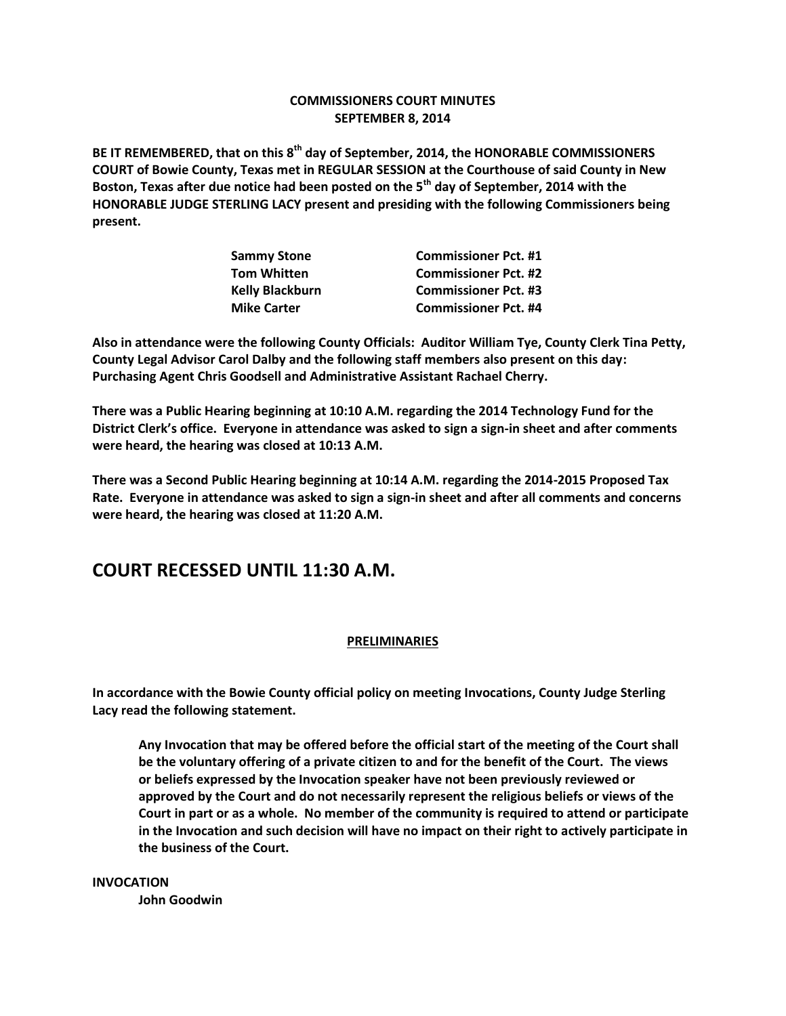### **COMMISSIONERS COURT MINUTES SEPTEMBER 8, 2014**

**BE IT REMEMBERED, that on this 8th day of September, 2014, the HONORABLE COMMISSIONERS COURT of Bowie County, Texas met in REGULAR SESSION at the Courthouse of said County in New Boston, Texas after due notice had been posted on the 5th day of September, 2014 with the HONORABLE JUDGE STERLING LACY present and presiding with the following Commissioners being present.**

| <b>Commissioner Pct. #1</b> |
|-----------------------------|
| <b>Commissioner Pct. #2</b> |
| <b>Commissioner Pct. #3</b> |
| <b>Commissioner Pct. #4</b> |
|                             |

**Also in attendance were the following County Officials: Auditor William Tye, County Clerk Tina Petty, County Legal Advisor Carol Dalby and the following staff members also present on this day: Purchasing Agent Chris Goodsell and Administrative Assistant Rachael Cherry.**

**There was a Public Hearing beginning at 10:10 A.M. regarding the 2014 Technology Fund for the District Clerk's office. Everyone in attendance was asked to sign a sign-in sheet and after comments were heard, the hearing was closed at 10:13 A.M.**

**There was a Second Public Hearing beginning at 10:14 A.M. regarding the 2014-2015 Proposed Tax Rate. Everyone in attendance was asked to sign a sign-in sheet and after all comments and concerns were heard, the hearing was closed at 11:20 A.M.**

# **COURT RECESSED UNTIL 11:30 A.M.**

### **PRELIMINARIES**

**In accordance with the Bowie County official policy on meeting Invocations, County Judge Sterling Lacy read the following statement.**

**Any Invocation that may be offered before the official start of the meeting of the Court shall be the voluntary offering of a private citizen to and for the benefit of the Court. The views or beliefs expressed by the Invocation speaker have not been previously reviewed or approved by the Court and do not necessarily represent the religious beliefs or views of the Court in part or as a whole. No member of the community is required to attend or participate in the Invocation and such decision will have no impact on their right to actively participate in the business of the Court.**

**INVOCATION John Goodwin**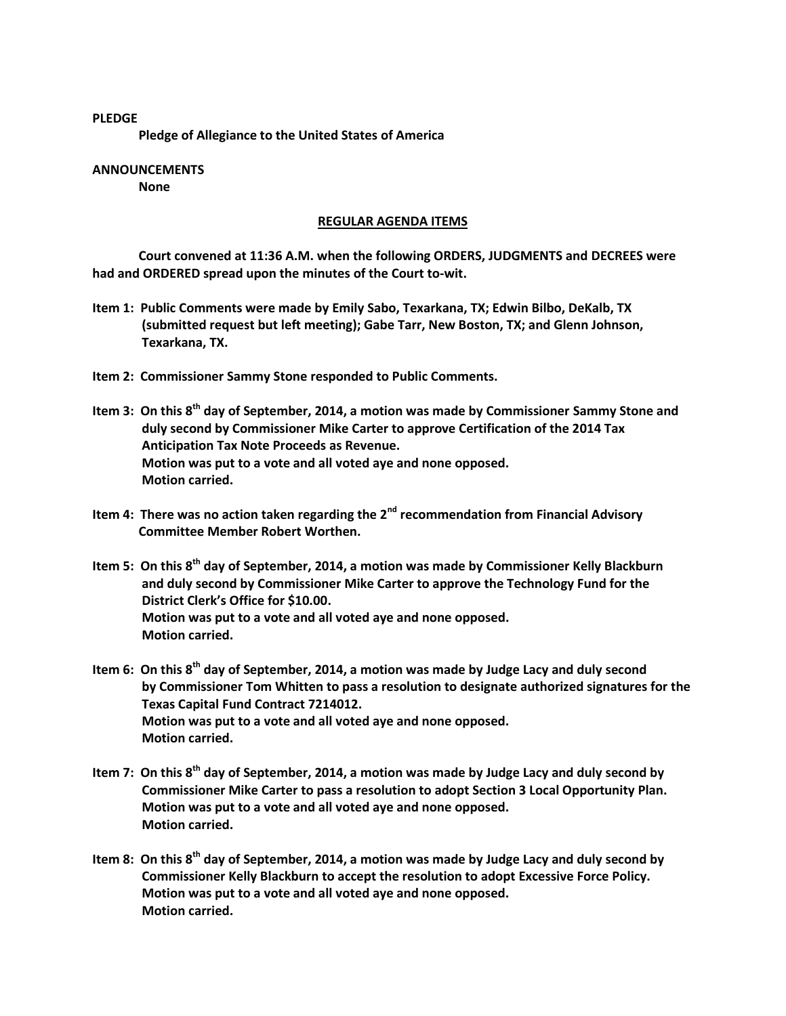**PLEDGE Pledge of Allegiance to the United States of America**

#### **ANNOUNCEMENTS None**

### **REGULAR AGENDA ITEMS**

**Court convened at 11:36 A.M. when the following ORDERS, JUDGMENTS and DECREES were had and ORDERED spread upon the minutes of the Court to-wit.**

- **Item 1: Public Comments were made by Emily Sabo, Texarkana, TX; Edwin Bilbo, DeKalb, TX (submitted request but left meeting); Gabe Tarr, New Boston, TX; and Glenn Johnson, Texarkana, TX.**
- **Item 2: Commissioner Sammy Stone responded to Public Comments.**
- **Item 3: On this 8th day of September, 2014, a motion was made by Commissioner Sammy Stone and duly second by Commissioner Mike Carter to approve Certification of the 2014 Tax Anticipation Tax Note Proceeds as Revenue. Motion was put to a vote and all voted aye and none opposed. Motion carried.**
- **Item 4: There was no action taken regarding the 2nd recommendation from Financial Advisory Committee Member Robert Worthen.**
- **Item 5: On this 8th day of September, 2014, a motion was made by Commissioner Kelly Blackburn and duly second by Commissioner Mike Carter to approve the Technology Fund for the District Clerk's Office for \$10.00. Motion was put to a vote and all voted aye and none opposed. Motion carried.**
- **Item 6: On this 8th day of September, 2014, a motion was made by Judge Lacy and duly second by Commissioner Tom Whitten to pass a resolution to designate authorized signatures for the Texas Capital Fund Contract 7214012. Motion was put to a vote and all voted aye and none opposed. Motion carried.**
- **Item 7: On this 8th day of September, 2014, a motion was made by Judge Lacy and duly second by Commissioner Mike Carter to pass a resolution to adopt Section 3 Local Opportunity Plan. Motion was put to a vote and all voted aye and none opposed. Motion carried.**
- **Item 8: On this 8th day of September, 2014, a motion was made by Judge Lacy and duly second by Commissioner Kelly Blackburn to accept the resolution to adopt Excessive Force Policy. Motion was put to a vote and all voted aye and none opposed. Motion carried.**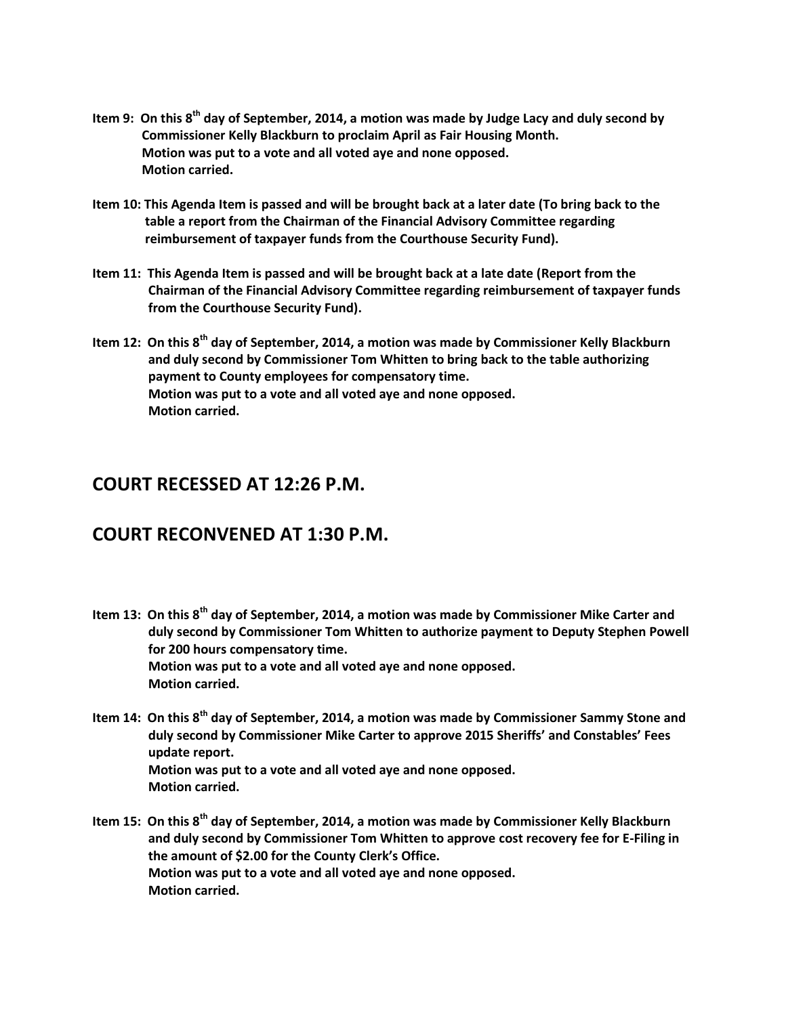- **Item 9: On this 8th day of September, 2014, a motion was made by Judge Lacy and duly second by Commissioner Kelly Blackburn to proclaim April as Fair Housing Month. Motion was put to a vote and all voted aye and none opposed. Motion carried.**
- **Item 10: This Agenda Item is passed and will be brought back at a later date (To bring back to the table a report from the Chairman of the Financial Advisory Committee regarding reimbursement of taxpayer funds from the Courthouse Security Fund).**
- **Item 11: This Agenda Item is passed and will be brought back at a late date (Report from the Chairman of the Financial Advisory Committee regarding reimbursement of taxpayer funds from the Courthouse Security Fund).**
- **Item 12: On this 8th day of September, 2014, a motion was made by Commissioner Kelly Blackburn and duly second by Commissioner Tom Whitten to bring back to the table authorizing payment to County employees for compensatory time. Motion was put to a vote and all voted aye and none opposed. Motion carried.**

## **COURT RECESSED AT 12:26 P.M.**

# **COURT RECONVENED AT 1:30 P.M.**

- **Item 13: On this 8th day of September, 2014, a motion was made by Commissioner Mike Carter and duly second by Commissioner Tom Whitten to authorize payment to Deputy Stephen Powell for 200 hours compensatory time. Motion was put to a vote and all voted aye and none opposed. Motion carried.**
- **Item 14: On this 8th day of September, 2014, a motion was made by Commissioner Sammy Stone and duly second by Commissioner Mike Carter to approve 2015 Sheriffs' and Constables' Fees update report. Motion was put to a vote and all voted aye and none opposed. Motion carried.**
- **Item 15: On this 8th day of September, 2014, a motion was made by Commissioner Kelly Blackburn and duly second by Commissioner Tom Whitten to approve cost recovery fee for E-Filing in the amount of \$2.00 for the County Clerk's Office. Motion was put to a vote and all voted aye and none opposed. Motion carried.**